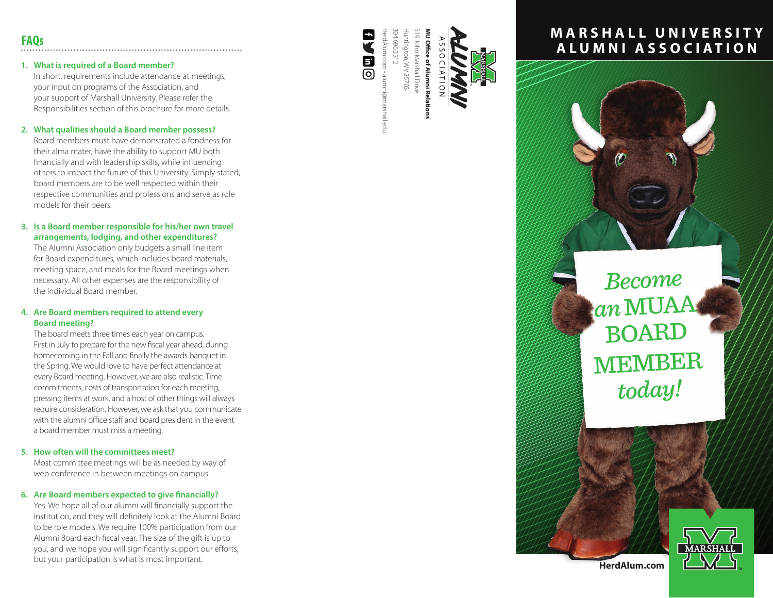## **1. What is required of a Board member?**

In short, requirements include attendance at meetings, your input on programs of the Association, and your support of Marshall University. Please refer the Responsibilities section of this brochure for more details.

## **2. What qualities should a Board member possess?**

Board members must have demonstrated a fondness for their alma mater, have the ability to support MU both financially and with leadership skills, while influencing others to impact the future of this University. Simply stated, board members are to be well respected within their respective communities and professions and serve as role models for their peers.

## **3. Is a Board member responsible for his/her own travel arrangements, lodging, and other expenditures?**

The Alumni Association only budgets a small line item for Board expenditures, which includes board materials, meeting space, and meals for the Board meetings when necessary. All other expenses are the responsibility of the individual Board member.

## **4. Are Board members required to attend every Board meeting?**

The board meets three times each year on campus. First in July to prepare for the new fiscal year ahead, during homecoming in the Fall and finally the awards banquet in the Spring. We would love to have perfect attendance at every Board meeting. However, we are also realistic. Time commitments, costs of transportation for each meeting, pressing items at work, and a host of other things will always require consideration. However, we ask that you communicate with the alumni office staff and board president in the event a board member must miss a meeting.

## **5. How often will the committees meet?**

Most committee meetings will be as needed by way of web conference in between meetings on campus.

## **6. Are Board members expected to give financially?**

Yes. We hope all of our alumni will financially support the institution, and they will definitely look at the Alumni Board to be role models. We require 100% participation from our Alumni Board each fiscal year. The size of the gift is up to you, and we hope you will significantly support our efforts, but your participation is what is most important.



HerdAlum.com • alumni@marshall.edu 304.696.3512 Huntington, WV 25703 519 John Marshall Drive **MU Office of Alumni Relations**  04.696.3512 19 John Marshall Drive untington, WV 25703 **U Office of Alumni Re** ASSOCIATION

# Alumni

# **MARSHALL UNIVERSITY ALUMNI ASSOCIATION**